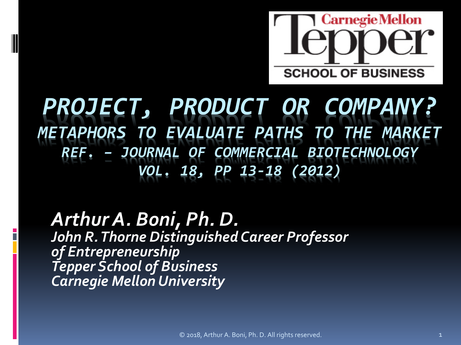

#### *PROJECT, PRODUCT OR COMPANY? METAPHORS TO EVALUATE PATHS TO THE MARKET REF. – JOURNAL OF COMMERCIAL BIOTECHNOLOGY VOL. 18, PP 13-18 (2012)*

#### *Arthur A. Boni, Ph. D. John R. Thorne Distinguished Career Professor of Entrepreneurship Tepper School of Business Carnegie Mellon University*

© 2018, Arthur A. Boni, Ph. D. All rights reserved. 1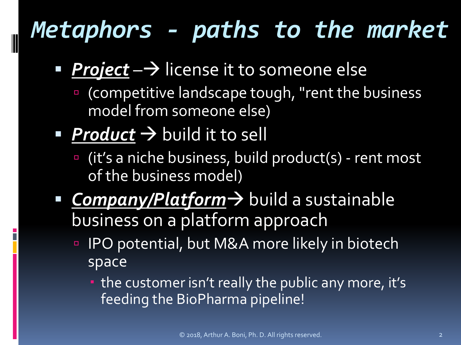# *Metaphors - paths to the market*

- **Project**  $\rightarrow$  license it to someone else
	- (competitive landscape tough, "rent the business model from someone else)
- **Product**  $\rightarrow$  build it to sell
	- (it's a niche business, build product(s) rent most of the business model)
- **Company/Platform** > build a sustainable business on a platform approach
	- IPO potential, but M&A more likely in biotech space
		- the customer isn't really the public any more, it's feeding the BioPharma pipeline!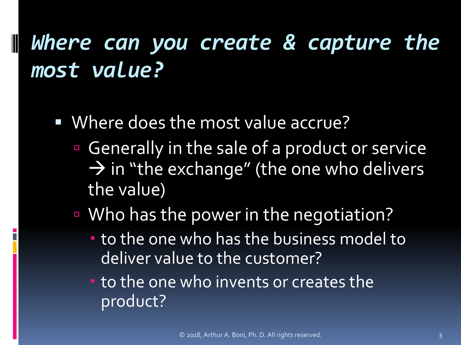# *Where can you create & capture the most value?*

Where does the most value accrue?

- Generally in the sale of a product or service  $\rightarrow$  in "the exchange" (the one who delivers the value)
- Who has the power in the negotiation?
	- to the one who has the business model to deliver value to the customer?
	- **to the one who invents or creates the** product?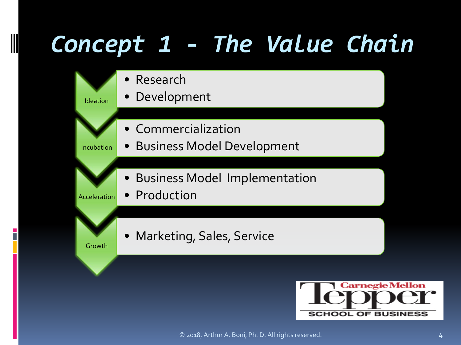# *Concept 1 - The Value Chain*

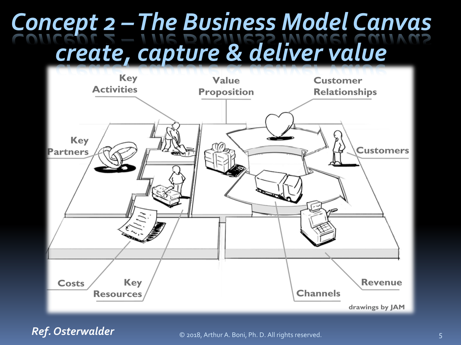# *Concept 2 –The Business Model Canvas create, capture & deliver value*



*Ref. Osterwalder*

© 2018, Arthur A. Boni, Ph. D. All rights reserved. 5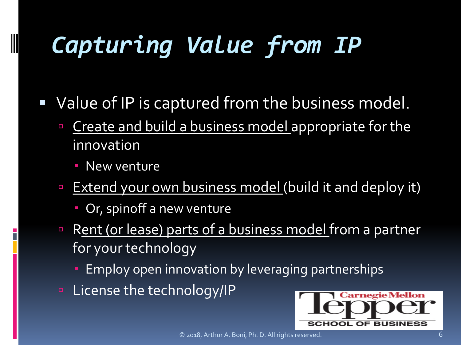# *Capturing Value from IP*

- Value of IP is captured from the business model.
	- **Create and build a business model appropriate for the** innovation
		- **New venture**

- **Extend your own business model (build it and deploy it)** 
	- Or, spinoff a new venture
- Rent (or lease) parts of a business model from a partner for your technology
	- Employ open innovation by leveraging partnerships
- **E** License the technology/IP

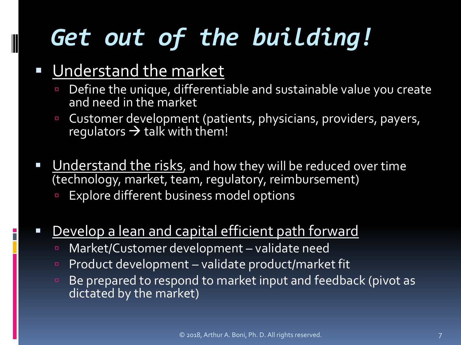# *Get out of the building!*

#### Understand the market

- Define the unique, differentiable and sustainable value you create and need in the market
- Customer development (patients, physicians, providers, payers, regulators  $\rightarrow$  talk with them!
- Understand the risks, and how they will be reduced over time (technology, market, team, regulatory, reimbursement)
	- Explore different business model options
- Develop a lean and capital efficient path forward
	- Market/Customer development validate need
	- Product development validate product/market fit
	- **Be prepared to respond to market input and feedback (pivot as** dictated by the market)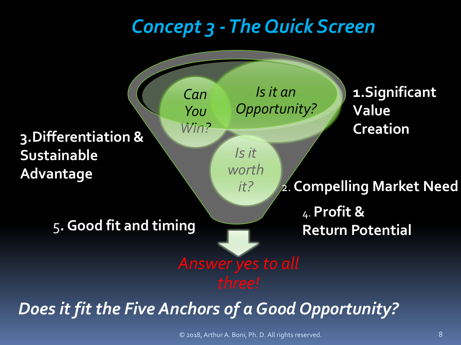## *Concept 3 -The Quick Screen*



© 2018, Arthur A. Boni, Ph. D. All rights reserved. 8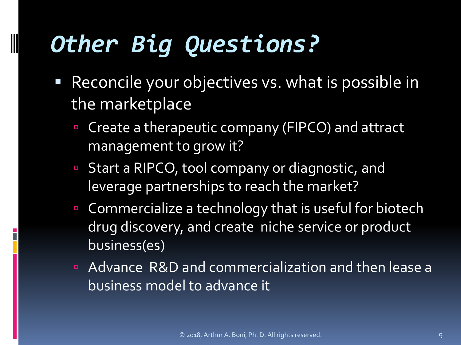# *Other Big Questions?*

- Reconcile your objectives vs. what is possible in the marketplace
	- Create a therapeutic company (FIPCO) and attract management to grow it?
	- Start a RIPCO, tool company or diagnostic, and leverage partnerships to reach the market?
	- **EX Commercialize a technology that is useful for biotech** drug discovery, and create niche service or product business(es)
	- Advance R&D and commercialization and then lease a business model to advance it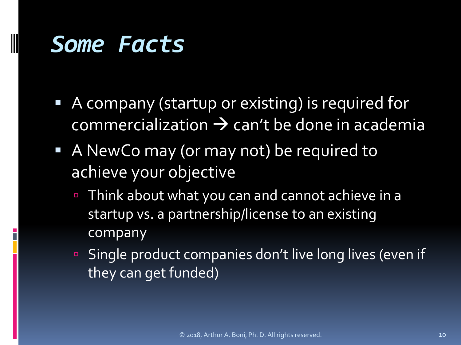## *Some Facts*

- A company (startup or existing) is required for  $commercialization \rightarrow can't be done in academic$
- A NewCo may (or may not) be required to achieve your objective
	- Think about what you can and cannot achieve in a startup vs. a partnership/license to an existing company
	- Single product companies don't live long lives (even if they can get funded)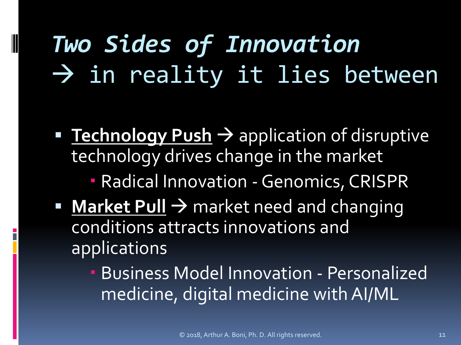# *Two Sides of Innovation*  $\rightarrow$  in reality it lies between

- **Technology Push > application of disruptive** technology drives change in the market
	- Radical Innovation -Genomics, CRISPR
- Market Pull  $\rightarrow$  market need and changing conditions attracts innovations and applications
	- Business Model Innovation Personalized medicine, digital medicine with AI/ML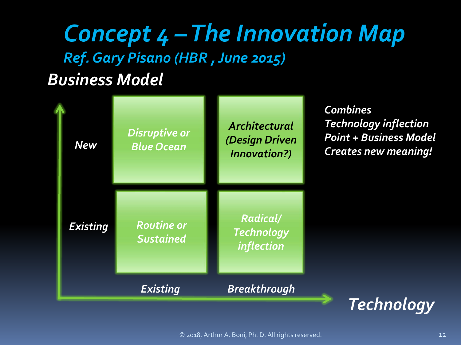#### *Business Model Concept 4 –The Innovation Map Ref. Gary Pisano (HBR , June 2015)*

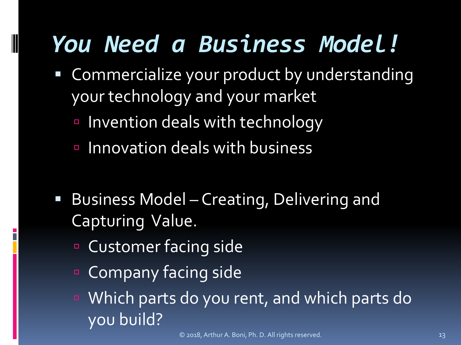# *You Need a Business Model!*

- Commercialize your product by understanding your technology and your market
	- Invention deals with technology
	- Innovation deals with business
- **Business Model Creating, Delivering and** Capturing Value.
	- Customer facing side

- **Company facing side**
- Which parts do you rent, and which parts do you build?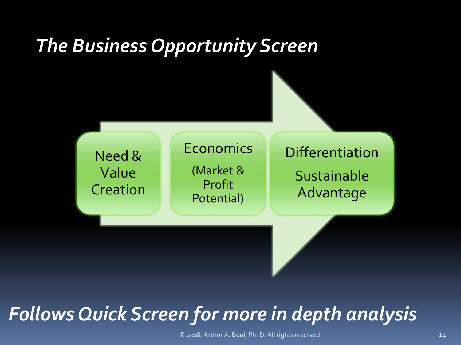## *The Business Opportunity Screen*



### *Follows Quick Screen for more in depth analysis*

© 2018, Arthur A. Boni, Ph. D. All rights reserved. 14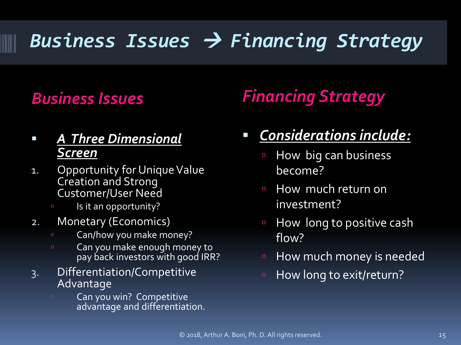## *Business Issues Financing Strategy*

#### *A Three Dimensional Screen*

- 1. Opportunity for Unique Value Creation and Strong Customer/User Need
	- **Is it an opportunity?**
- 2. Monetary (Economics)
	- **EXECOM/how you make money?**
	- **Can you make enough money to** pay back investors with good IRR?
- 3. Differentiation/Competitive Advantage
	- Can you win? Competitive advantage and differentiation.

#### *Business Issues Financing Strategy*

#### *Considerations include:*

- **E** How big can business become?
- **How much return on** investment?
- **How long to positive cash** flow?
- **E** How much money is needed
- **E** How long to exit/return?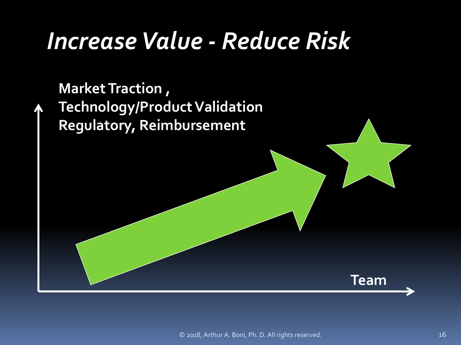# *Increase Value - Reduce Risk*

**Market Traction , Technology/Product Validation Regulatory, Reimbursement**

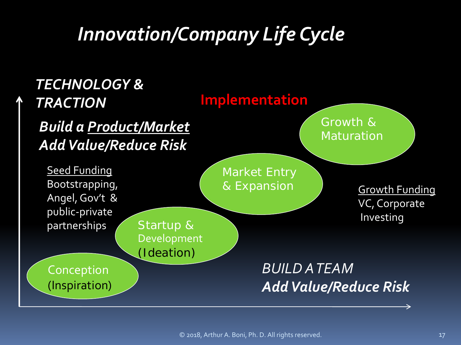## *Innovation/Company Life Cycle*

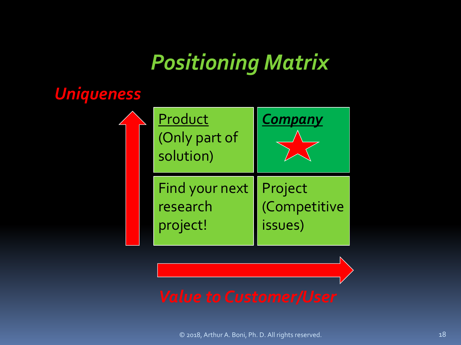## *Positioning Matrix*

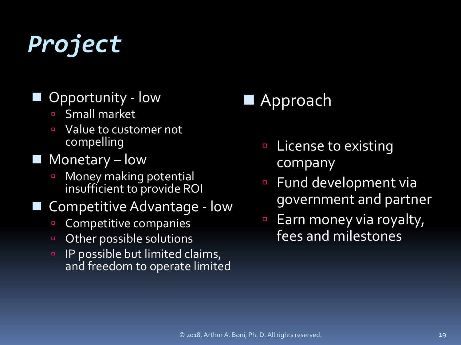# *Project*

#### Opportunity - low

- Small market
- **U** Value to customer not compelling
- $\blacksquare$  Monetary low
	- **E** Money making potential insufficient to provide ROI

#### Competitive Advantage - low

- **Competitive companies**
- **D** Other possible solutions
- **IP possible but limited claims,** and freedom to operate limited

#### Approach

- License to existing company
- Fund development via government and partner
- Earn money via royalty, fees and milestones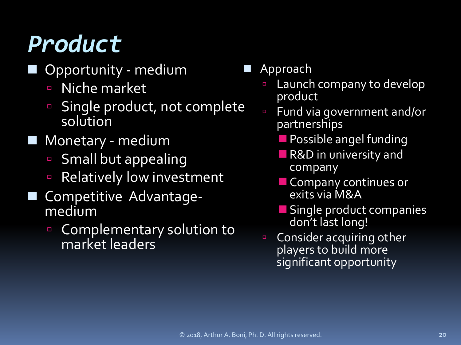# *Product*

- Opportunity medium
	- **Niche market**
	- **Single product, not complete** solution
- Monetary medium
	- **Small but appealing**
	- **Relatively low investment**
- Competitive Advantage- medium
	- **Complementary solution to** market leaders
- Approach
	- **Launch company to develop** product
	- Fund via government and/or partnerships
		- **Possible angel funding**
		- **R&D** in university and company
		- **Company continues or** exits via M&A
		- **Single product companies** don't last long!
	- **Consider acquiring other** players to build more significant opportunity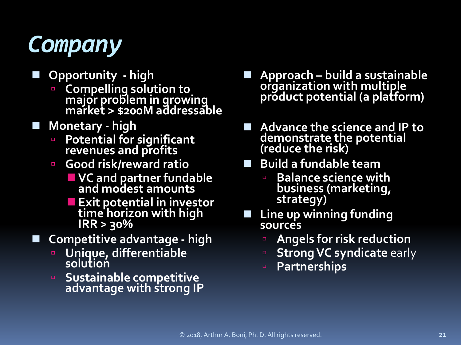

- **Opportunity - high**
	- **Compelling solution to major problem in growing market > \$200M addressable**
- **Monetary - high**
	- **Potential for significant revenues and profits**
	- **Good risk/reward ratio**
		- **VC and partner fundable and modest amounts**
		- **Exit potential in investor time horizon with high IRR > 30%**
- **Competitive advantage - high**
	- **Unique, differentiable solution**
	- **Sustainable competitive advantage with strong IP**
- **Approach – build a sustainable organization with multiple product potential (a platform)**
- Advance the science and IP to **demonstrate the potential (reduce the risk)**
- **Build a fundable team**
	- **Balance science with business (marketing, strategy)**
- **Line up winning funding sources**
	- **Angels for risk reduction**
	- **B** Strong VC syndicate early
	- **Partnerships**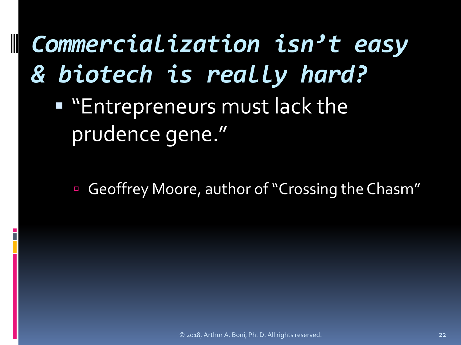*Commercialization isn't easy & biotech is really hard?* 

**Eart Entrepreneurs must lack the** prudence gene."

Geoffrey Moore, author of "Crossing the Chasm"